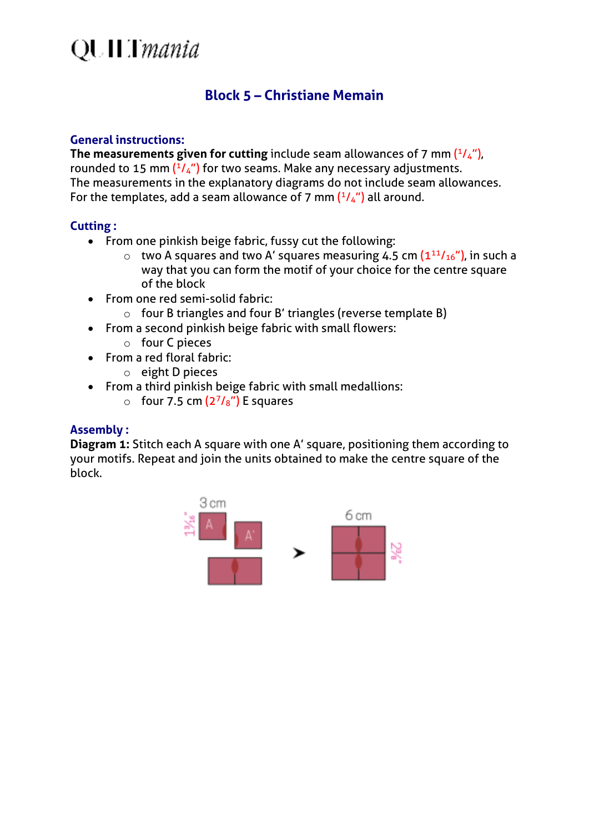## **QUILT** mania

### **Block 5 – Christiane Memain**

#### **General instructions:**

**The measurements given for cutting** include seam allowances of 7 mm  $\left(\frac{1}{4}\right)$ , rounded to 15 mm ( $\frac{1}{4}$ ") for two seams. Make any necessary adjustments. The measurements in the explanatory diagrams do not include seam allowances. For the templates, add a seam allowance of 7 mm  $(^{1}/_{4}$ ") all around.

#### **Cutting :**

- From one pinkish beige fabric, fussy cut the following:
	- $\circ$  two A squares and two A' squares measuring 4.5 cm  $(1^{11}/16'')$ , in such a way that you can form the motif of your choice for the centre square of the block
- From one red semi-solid fabric:
	- o four B triangles and four B' triangles (reverse template B)
- From a second pinkish beige fabric with small flowers:
	- o four C pieces
- From a red floral fabric:
	- o eight D pieces
- From a third pinkish beige fabric with small medallions:
	- $\circ$  four 7.5 cm  $(2^7/s'')$  E squares

### **Assembly :**

**Diagram 1:** Stitch each A square with one A' square, positioning them according to your motifs. Repeat and join the units obtained to make the centre square of the block.